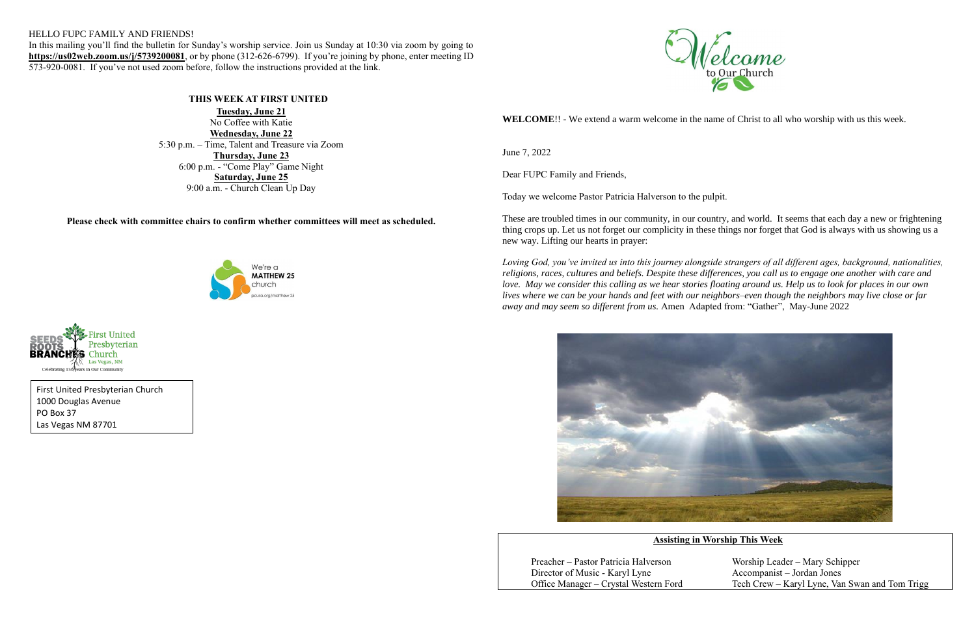### HELLO FUPC FAMILY AND FRIENDS!

In this mailing you'll find the bulletin for Sunday's worship service. Join us Sunday at 10:30 via zoom by going to **<https://us02web.zoom.us/j/5739200081>**, or by phone (312-626-6799). If you're joining by phone, enter meeting ID 573-920-0081. If you've not used zoom before, follow the instructions provided at the link.

# **THIS WEEK AT FIRST UNITED**

**Tuesday, June 21** No Coffee with Katie **Wednesday, June 22** 5:30 p.m. – Time, Talent and Treasure via Zoom **Thursday, June 23** 6:00 p.m. - "Come Play" Game Night **Saturday, June 25** 9:00 a.m. - Church Clean Up Day

### **Please check with committee chairs to confirm whether committees will meet as scheduled.**





**WELCOME**!! - We extend a warm welcome in the name of Christ to all who worship with us this week.

June 7, 2022

Dear FUPC Family and Friends,

Today we welcome Pastor Patricia Halverson to the pulpit.

Preacher – Pastor Patricia Halverson Worship Leader – Mary Schipper Director of Music - Karyl Lyne Accompanist – Jordan Jones

These are troubled times in our community, in our country, and world. It seems that each day a new or frightening thing crops up. Let us not forget our complicity in these things nor forget that God is always with us showing us a new way. Lifting our hearts in prayer:

*Loving God, you've invited us into this journey alongside strangers of all different ages, background, nationalities, religions, races, cultures and beliefs. Despite these differences, you call us to engage one another with care and love. May we consider this calling as we hear stories floating around us. Help us to look for places in our own lives where we can be your hands and feet with our neighbors–even though the neighbors may live close or far away and may seem so different from us.* Amen Adapted from: "Gather", May-June 2022



**Assisting in Worship This Week**

Office Manager – Crystal Western Ford Tech Crew – Karyl Lyne, Van Swan and Tom Trigg

First United Presbyterian Church 1000 Douglas Avenue PO Box 37 Las Vegas NM 87701

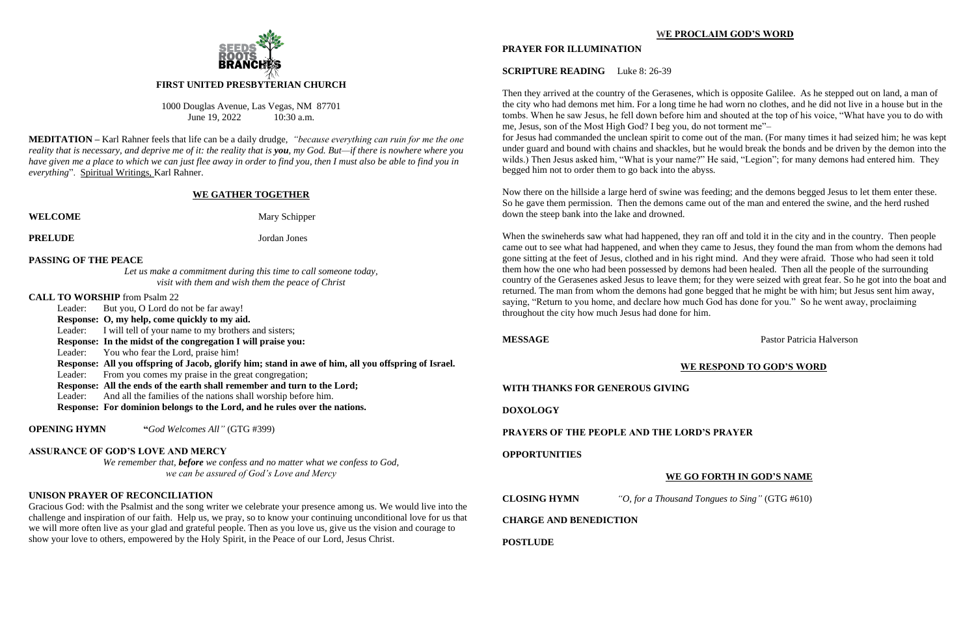

## **FIRST UNITED PRESBYTERIAN CHURCH**

1000 Douglas Avenue, Las Vegas, NM 87701 June 19, 2022 10:30 a.m.

**MEDITATION –** Karl Rahner feels that life can be a daily drudge, *"because everything can ruin for me the one reality that is necessary, and deprive me of it: the reality that is you, my God. But—if there is nowhere where you have given me a place to which we can just flee away in order to find you, then I must also be able to find you in everything*". Spiritual Writings, Karl Rahner.

## **WE GATHER TOGETHER**

**WELCOME** Mary Schipper

**PRELUDE** Jordan Jones

### **PASSING OF THE PEACE**

*Let us make a commitment during this time to call someone today, visit with them and wish them the peace of Christ*

#### **CALL TO WORSHIP** from Psalm 22

| Leader: | But you, O Lord do not be far away!                                                                  |
|---------|------------------------------------------------------------------------------------------------------|
|         | Response: O, my help, come quickly to my aid.                                                        |
|         | Leader: I will tell of your name to my brothers and sisters;                                         |
|         | Response: In the midst of the congregation I will praise you:                                        |
|         | Leader: You who fear the Lord, praise him!                                                           |
|         | Response: All you offspring of Jacob, glorify him; stand in awe of him, all you offspring of Israel. |
| Leader: | From you comes my praise in the great congregation;                                                  |
|         | Response: All the ends of the earth shall remember and turn to the Lord;                             |
| Leader: | And all the families of the nations shall worship before him.                                        |
|         | Response: For dominion belongs to the Lord, and he rules over the nations.                           |
|         |                                                                                                      |

**OPENING HYMN "***God Welcomes All"* (GTG #399)

## **ASSURANCE OF GOD'S LOVE AND MERCY**

*We remember that, before we confess and no matter what we confess to God, we can be assured of God's Love and Mercy*

### **UNISON PRAYER OF RECONCILIATION**

Gracious God: with the Psalmist and the song writer we celebrate your presence among us. We would live into the challenge and inspiration of our faith. Help us, we pray, so to know your continuing unconditional love for us that we will more often live as your glad and grateful people. Then as you love us, give us the vision and courage to show your love to others, empowered by the Holy Spirit, in the Peace of our Lord, Jesus Christ.

## **WE PROCLAIM GOD'S WORD**

**MESSAGE** Pastor Patricia Halverson

#### **PRAYER FOR ILLUMINATION**

### **SCRIPTURE READING** Luke 8: 26-39

Then they arrived at the country of the Gerasenes, which is opposite Galilee. As he stepped out on land, a man of the city who had demons met him. For a long time he had worn no clothes, and he did not live in a house but in the tombs. When he saw Jesus, he fell down before him and shouted at the top of his voice, "What have you to do with me, Jesus, son of the Most High God? I beg you, do not torment me"– for Jesus had commanded the unclean spirit to come out of the man. (For many times it had seized him; he was kept under guard and bound with chains and shackles, but he would break the bonds and be driven by the demon into the wilds.) Then Jesus asked him, "What is your name?" He said, "Legion"; for many demons had entered him. They begged him not to order them to go back into the abyss.

Now there on the hillside a large herd of swine was feeding; and the demons begged Jesus to let them enter these. So he gave them permission. Then the demons came out of the man and entered the swine, and the herd rushed down the steep bank into the lake and drowned.

When the swineherds saw what had happened, they ran off and told it in the city and in the country. Then people came out to see what had happened, and when they came to Jesus, they found the man from whom the demons had gone sitting at the feet of Jesus, clothed and in his right mind. And they were afraid. Those who had seen it told them how the one who had been possessed by demons had been healed. Then all the people of the surrounding country of the Gerasenes asked Jesus to leave them; for they were seized with great fear. So he got into the boat and returned. The man from whom the demons had gone begged that he might be with him; but Jesus sent him away, saying, "Return to you home, and declare how much God has done for you." So he went away, proclaiming throughout the city how much Jesus had done for him.

## **WE RESPOND TO GOD'S WORD**

**WITH THANKS FOR GENEROUS GIVING DOXOLOGY PRAYERS OF THE PEOPLE AND THE LORD'S PRAYER OPPORTUNITIES CLOSING HYMN** *"O, for a Thousand Tongues to Sing"* (GTG #610)

## **WE GO FORTH IN GOD'S NAME**

**CHARGE AND BENEDICTION**

**POSTLUDE**